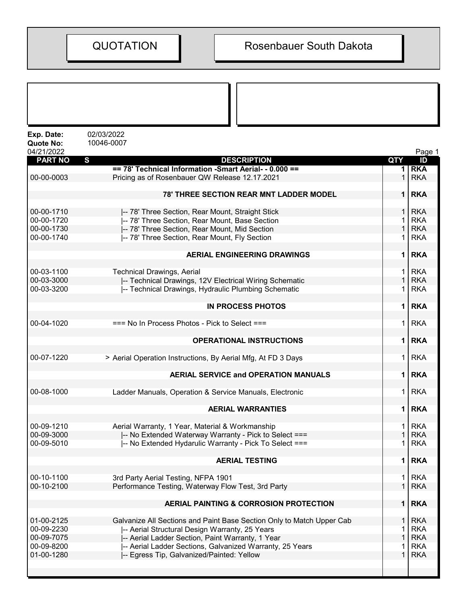| Exp. Date:<br><b>Quote No:</b><br>04/21/2022 | 02/03/2022<br>10046-0007                                                                                                |              | Page 1     |
|----------------------------------------------|-------------------------------------------------------------------------------------------------------------------------|--------------|------------|
| <b>PART NO</b>                               | S<br><b>DESCRIPTION</b>                                                                                                 | <b>QTY</b>   | ID         |
|                                              | == 78' Technical Information -Smart Aerial- - 0.000 ==                                                                  |              | <b>RKA</b> |
| 00-00-0003                                   | Pricing as of Rosenbauer QW Release 12.17.2021                                                                          |              | <b>RKA</b> |
|                                              | <b>78' THREE SECTION REAR MNT LADDER MODEL</b>                                                                          | $\mathbf{1}$ | <b>RKA</b> |
| 00-00-1710                                   | -- 78' Three Section, Rear Mount, Straight Stick                                                                        |              | <b>RKA</b> |
| 00-00-1720                                   | -- 78' Three Section, Rear Mount, Base Section                                                                          |              | <b>RKA</b> |
| 00-00-1730                                   | -- 78' Three Section, Rear Mount, Mid Section                                                                           |              | <b>RKA</b> |
| 00-00-1740                                   | -- 78' Three Section, Rear Mount, Fly Section                                                                           |              | <b>RKA</b> |
|                                              | <b>AERIAL ENGINEERING DRAWINGS</b>                                                                                      | 1            | <b>RKA</b> |
| 00-03-1100                                   | <b>Technical Drawings, Aerial</b>                                                                                       | 1            | <b>RKA</b> |
| 00-03-3000                                   | -- Technical Drawings, 12V Electrical Wiring Schematic                                                                  |              | <b>RKA</b> |
| 00-03-3200                                   | -- Technical Drawings, Hydraulic Plumbing Schematic                                                                     | 1            | <b>RKA</b> |
|                                              |                                                                                                                         |              |            |
|                                              | <b>IN PROCESS PHOTOS</b>                                                                                                | 1            | <b>RKA</b> |
| 00-04-1020                                   | $==$ No In Process Photos - Pick to Select $==$                                                                         | 1            | <b>RKA</b> |
|                                              | <b>OPERATIONAL INSTRUCTIONS</b>                                                                                         | 1            | <b>RKA</b> |
| 00-07-1220                                   | > Aerial Operation Instructions, By Aerial Mfg, At FD 3 Days                                                            | 1            | <b>RKA</b> |
|                                              | <b>AERIAL SERVICE and OPERATION MANUALS</b>                                                                             | 1            | <b>RKA</b> |
| 00-08-1000                                   | Ladder Manuals, Operation & Service Manuals, Electronic                                                                 | 1            | <b>RKA</b> |
|                                              | <b>AERIAL WARRANTIES</b>                                                                                                | 1            | <b>RKA</b> |
| 00-09-1210                                   | Aerial Warranty, 1 Year, Material & Workmanship                                                                         |              | <b>RKA</b> |
| 00-09-3000                                   | -- No Extended Waterway Warranty - Pick to Select ===                                                                   |              | <b>RKA</b> |
| 00-09-5010                                   | -- No Extended Hydarulic Warranty - Pick To Select ===                                                                  |              | <b>RKA</b> |
|                                              | <b>AERIAL TESTING</b>                                                                                                   | 1            | <b>RKA</b> |
| 00-10-1100                                   | 3rd Party Aerial Testing, NFPA 1901                                                                                     | 1            | <b>RKA</b> |
| 00-10-2100                                   | Performance Testing, Waterway Flow Test, 3rd Party                                                                      | 1            | <b>RKA</b> |
|                                              | <b>AERIAL PAINTING &amp; CORROSION PROTECTION</b>                                                                       | 1            | <b>RKA</b> |
| 01-00-2125                                   |                                                                                                                         | 1            | <b>RKA</b> |
| 00-09-2230                                   | Galvanize All Sections and Paint Base Section Only to Match Upper Cab<br>-- Aerial Structural Design Warranty, 25 Years |              | <b>RKA</b> |
| 00-09-7075                                   | -- Aerial Ladder Section, Paint Warranty, 1 Year                                                                        | 1            | <b>RKA</b> |
| 00-09-8200                                   | -- Aerial Ladder Sections, Galvanized Warranty, 25 Years                                                                | 1            | <b>RKA</b> |
| 01-00-1280                                   | -- Egress Tip, Galvanized/Painted: Yellow                                                                               | 1            | <b>RKA</b> |
|                                              |                                                                                                                         |              |            |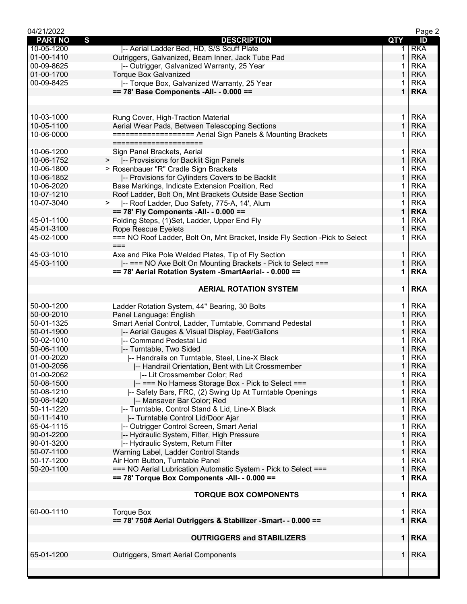| 04/21/2022     |                                                                                       |                    | Page 2     |
|----------------|---------------------------------------------------------------------------------------|--------------------|------------|
| <b>PART NO</b> | S<br><b>DESCRIPTION</b>                                                               | QTY                | ID         |
| 10-05-1200     | -- Aerial Ladder Bed, HD, S/S Scuff Plate                                             | 1.                 | <b>RKA</b> |
| 01-00-1410     | Outriggers, Galvanized, Beam Inner, Jack Tube Pad                                     | 1                  | <b>RKA</b> |
| 00-09-8625     | -- Outrigger, Galvanized Warranty, 25 Year                                            |                    | <b>RKA</b> |
| 01-00-1700     | <b>Torque Box Galvanized</b>                                                          |                    | <b>RKA</b> |
| 00-09-8425     | -- Torque Box, Galvanized Warranty, 25 Year                                           | 1                  | <b>RKA</b> |
|                | == 78' Base Components -All- - 0.000 ==                                               | $\mathbf 1$        | <b>RKA</b> |
|                |                                                                                       |                    |            |
|                |                                                                                       |                    |            |
| 10-03-1000     | Rung Cover, High-Traction Material                                                    | 1                  | <b>RKA</b> |
| 10-05-1100     | Aerial Wear Pads, Between Telescoping Sections                                        | $\mathbf{1}$       | <b>RKA</b> |
| 10-06-0000     | ================== Aerial Sign Panels & Mounting Brackets                             | 1                  | <b>RKA</b> |
|                | =====================                                                                 |                    |            |
| 10-06-1200     | Sign Panel Brackets, Aerial                                                           | 1.                 | <b>RKA</b> |
| 10-06-1752     | -- Provsisions for Backlit Sign Panels<br>>                                           | 1                  | <b>RKA</b> |
| 10-06-1800     | > Rosenbauer "R" Cradle Sign Brackets                                                 | 1                  | <b>RKA</b> |
| 10-06-1852     | -- Provisions for Cylinders Covers to be Backlit                                      | $\mathbf{1}$       | <b>RKA</b> |
| 10-06-2020     | Base Markings, Indicate Extension Position, Red                                       | 1                  | <b>RKA</b> |
| 10-07-1210     | Roof Ladder, Bolt On, Mnt Brackets Outside Base Section                               | 1                  | <b>RKA</b> |
| 10-07-3040     | $\geq$<br>-- Roof Ladder, Duo Safety, 775-A, 14', Alum                                |                    | <b>RKA</b> |
|                | $== 78'$ Fly Components -All- - 0.000 ==                                              | 1                  | <b>RKA</b> |
| 45-01-1100     | Folding Steps, (1)Set, Ladder, Upper End Fly                                          |                    | <b>RKA</b> |
| 45-01-3100     |                                                                                       | 1                  | <b>RKA</b> |
| 45-02-1000     | <b>Rope Rescue Eyelets</b>                                                            | 1                  | <b>RKA</b> |
|                | === NO Roof Ladder, Bolt On, Mnt Bracket, Inside Fly Section - Pick to Select<br>$==$ |                    |            |
|                |                                                                                       |                    |            |
| 45-03-1010     | Axe and Pike Pole Welded Plates, Tip of Fly Section                                   | 1.<br>$\mathbf{1}$ | <b>RKA</b> |
| 45-03-1100     | -- === NO Axe Bolt On Mounting Brackets - Pick to Select ===                          |                    | <b>RKA</b> |
|                | == 78' Aerial Rotation System - SmartAerial - - 0.000 ==                              | 1                  | <b>RKA</b> |
|                |                                                                                       |                    |            |
|                | <b>AERIAL ROTATION SYSTEM</b>                                                         | 1                  | <b>RKA</b> |
|                |                                                                                       |                    |            |
| 50-00-1200     | Ladder Rotation System, 44" Bearing, 30 Bolts                                         | 1.                 | <b>RKA</b> |
| 50-00-2010     | Panel Language: English                                                               | $\mathbf{1}$       | <b>RKA</b> |
| 50-01-1325     | Smart Aerial Control, Ladder, Turntable, Command Pedestal                             | 1                  | <b>RKA</b> |
| 50-01-1900     | -- Aerial Gauges & Visual Display, Feet/Gallons                                       | 1                  | <b>RKA</b> |
| 50-02-1010     | -- Command Pedestal Lid                                                               |                    | <b>RKA</b> |
| 50-06-1100     | -- Turntable, Two Sided                                                               | 1                  | <b>RKA</b> |
| 01-00-2020     | -- Handrails on Turntable, Steel, Line-X Black                                        |                    | <b>RKA</b> |
| 01-00-2056     | -- Handrail Orientation, Bent with Lit Crossmember                                    | $\mathbf{1}$       | <b>RKA</b> |
| 01-00-2062     | -- Lit Crossmember Color; Red                                                         | 1                  | <b>RKA</b> |
| 50-08-1500     | -- === No Harness Storage Box - Pick to Select ===                                    | 1                  | <b>RKA</b> |
| 50-08-1210     | -- Safety Bars, FRC, (2) Swing Up At Turntable Openings                               | 1                  | <b>RKA</b> |
| 50-08-1420     | -- Mansaver Bar Color; Red                                                            | 1                  | <b>RKA</b> |
| 50-11-1220     | -- Turntable, Control Stand & Lid, Line-X Black                                       |                    | <b>RKA</b> |
| 50-11-1410     | -- Turntable Control Lid/Door Ajar                                                    | 1                  | <b>RKA</b> |
| 65-04-1115     | -- Outrigger Control Screen, Smart Aerial                                             | 1                  | <b>RKA</b> |
| 90-01-2200     | -- Hydraulic System, Filter, High Pressure                                            | 1                  | <b>RKA</b> |
| 90-01-3200     | -- Hydraulic System, Return Filter                                                    | 1                  | <b>RKA</b> |
| 50-07-1100     | Warning Label, Ladder Control Stands                                                  | $\mathbf{1}$       | <b>RKA</b> |
| 50-17-1200     | Air Horn Button, Turntable Panel                                                      | 1                  | <b>RKA</b> |
| 50-20-1100     | === NO Aerial Lubrication Automatic System - Pick to Select ===                       | $\mathbf 1$        | <b>RKA</b> |
|                | == 78' Torque Box Components -All- - 0.000 ==                                         | 1                  | <b>RKA</b> |
|                |                                                                                       |                    |            |
|                | <b>TORQUE BOX COMPONENTS</b>                                                          | 1                  | <b>RKA</b> |
|                |                                                                                       |                    |            |
| 60-00-1110     | <b>Torque Box</b>                                                                     | 1.                 | <b>RKA</b> |
|                | == 78' 750# Aerial Outriggers & Stabilizer -Smart- - 0.000 ==                         | $\mathbf 1$        | <b>RKA</b> |
|                |                                                                                       |                    |            |
|                | <b>OUTRIGGERS and STABILIZERS</b>                                                     |                    | $1$ RKA    |
|                |                                                                                       |                    |            |
| 65-01-1200     | <b>Outriggers, Smart Aerial Components</b>                                            | 1 <sup>1</sup>     | <b>RKA</b> |
|                |                                                                                       |                    |            |
|                |                                                                                       |                    |            |